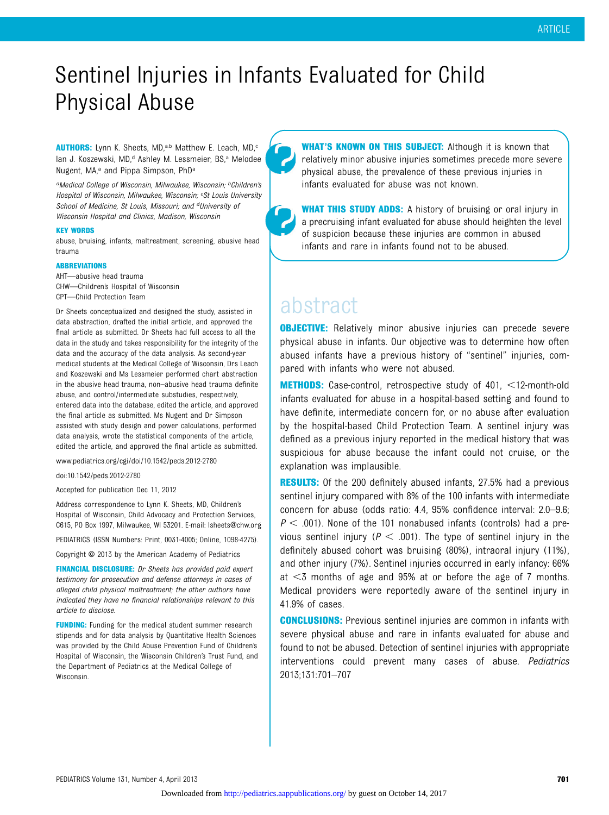## Sentinel Injuries in Infants Evaluated for Child Physical Abuse

AUTHORS: Lynn K. Sheets, MD,<sup>a,b</sup> Matthew E. Leach, MD,<sup>c</sup> lan J. Koszewski, MD,<sup>d</sup> Ashley M. Lessmeier, BS,<sup>a</sup> Melodee Nugent,  $MA<sup>a</sup>$  and Pippa Simpson,  $PhD<sup>a</sup>$ 

<sup>a</sup>Medical College of Wisconsin, Milwaukee, Wisconsin; <sup>b</sup>Children's Hospital of Wisconsin, Milwaukee, Wisconsin; <sup>c</sup>St Louis University School of Medicine, St Louis, Missouri; and <sup>d</sup>University of Wisconsin Hospital and Clinics, Madison, Wisconsin

#### KEY WORDS

abuse, bruising, infants, maltreatment, screening, abusive head trauma

#### ABBREVIATIONS

AHT—abusive head trauma CHW—Children's Hospital of Wisconsin CPT—Child Protection Team

Dr Sheets conceptualized and designed the study, assisted in data abstraction, drafted the initial article, and approved the final article as submitted. Dr Sheets had full access to all the data in the study and takes responsibility for the integrity of the data and the accuracy of the data analysis. As second-year medical students at the Medical College of Wisconsin, Drs Leach and Koszewski and Ms Lessmeier performed chart abstraction in the abusive head trauma, non–abusive head trauma definite abuse, and control/intermediate substudies, respectively, entered data into the database, edited the article, and approved the final article as submitted. Ms Nugent and Dr Simpson assisted with study design and power calculations, performed data analysis, wrote the statistical components of the article, edited the article, and approved the final article as submitted.

www.pediatrics.org/cgi/doi/10.1542/peds.2012-2780

doi:10.1542/peds.2012-2780

Accepted for publication Dec 11, 2012

Address correspondence to Lynn K. Sheets, MD, Children's Hospital of Wisconsin, Child Advocacy and Protection Services, C615, PO Box 1997, Milwaukee, WI 53201. E-mail: [lsheets@chw.org](mailto:lsheets@chw.org)

PEDIATRICS (ISSN Numbers: Print, 0031-4005; Online, 1098-4275).

Copyright © 2013 by the American Academy of Pediatrics

FINANCIAL DISCLOSURE: Dr Sheets has provided paid expert testimony for prosecution and defense attorneys in cases of alleged child physical maltreatment; the other authors have indicated they have no financial relationships relevant to this article to disclose.

**FUNDING:** Funding for the medical student summer research stipends and for data analysis by Quantitative Health Sciences was provided by the Child Abuse Prevention Fund of Children's Hospital of Wisconsin, the Wisconsin Children's Trust Fund, and the Department of Pediatrics at the Medical College of Wisconsin.

WHAT'S KNOWN ON THIS SUBJECT: Although it is known that relatively minor abusive injuries sometimes precede more severe physical abuse, the prevalence of these previous injuries in infants evaluated for abuse was not known.

**WHAT THIS STUDY ADDS:** A history of bruising or oral injury in a precruising infant evaluated for abuse should heighten the level of suspicion because these injuries are common in abused infants and rare in infants found not to be abused.

### abstract

**OBJECTIVE:** Relatively minor abusive injuries can precede severe physical abuse in infants. Our objective was to determine how often abused infants have a previous history of "sentinel" injuries, compared with infants who were not abused.

**METHODS:** Case-control, retrospective study of 401,  $\leq$ 12-month-old infants evaluated for abuse in a hospital-based setting and found to have definite, intermediate concern for, or no abuse after evaluation by the hospital-based Child Protection Team. A sentinel injury was defined as a previous injury reported in the medical history that was suspicious for abuse because the infant could not cruise, or the explanation was implausible.

**RESULTS:** Of the 200 definitely abused infants, 27.5% had a previous sentinel injury compared with 8% of the 100 infants with intermediate concern for abuse (odds ratio: 4.4, 95% confidence interval: 2.0–9.6;  $P < .001$ ). None of the 101 nonabused infants (controls) had a previous sentinel injury ( $P < .001$ ). The type of sentinel injury in the definitely abused cohort was bruising (80%), intraoral injury (11%), and other injury (7%). Sentinel injuries occurred in early infancy: 66% at  $<$ 3 months of age and 95% at or before the age of 7 months. Medical providers were reportedly aware of the sentinel injury in 41.9% of cases.

**CONCLUSIONS:** Previous sentinel injuries are common in infants with severe physical abuse and rare in infants evaluated for abuse and found to not be abused. Detection of sentinel injuries with appropriate interventions could prevent many cases of abuse. Pediatrics 2013;131:701–707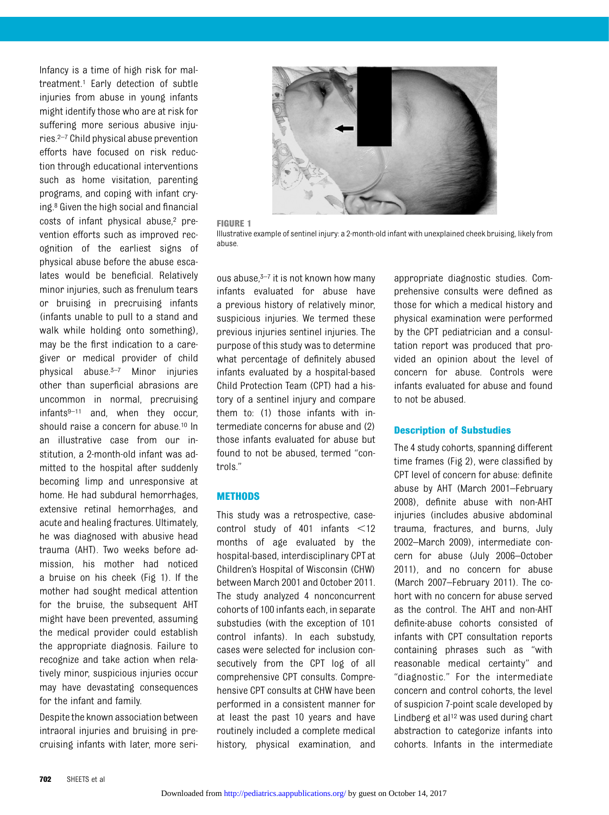Infancy is a time of high risk for maltreatment.1 Early detection of subtle injuries from abuse in young infants might identify those who are at risk for suffering more serious abusive injuries.2–<sup>7</sup> Child physical abuse prevention efforts have focused on risk reduction through educational interventions such as home visitation, parenting programs, and coping with infant crying.8 Given the high social and financial costs of infant physical abuse,<sup>2</sup> prevention efforts such as improved recognition of the earliest signs of physical abuse before the abuse escalates would be beneficial. Relatively minor injuries, such as frenulum tears or bruising in precruising infants (infants unable to pull to a stand and walk while holding onto something), may be the first indication to a caregiver or medical provider of child physical abuse.3–<sup>7</sup> Minor injuries other than superficial abrasions are uncommon in normal, precruising infants $9-11$  and, when they occur, should raise a concern for abuse.<sup>10</sup> In an illustrative case from our institution, a 2-month-old infant was admitted to the hospital after suddenly becoming limp and unresponsive at home. He had subdural hemorrhages, extensive retinal hemorrhages, and acute and healing fractures. Ultimately, he was diagnosed with abusive head trauma (AHT). Two weeks before admission, his mother had noticed a bruise on his cheek (Fig 1). If the mother had sought medical attention for the bruise, the subsequent AHT might have been prevented, assuming the medical provider could establish the appropriate diagnosis. Failure to recognize and take action when relatively minor, suspicious injuries occur may have devastating consequences for the infant and family.

Despite the known association between intraoral injuries and bruising in precruising infants with later, more seri-



#### FIGURE 1

Illustrative example of sentinel injury: a 2-month-old infant with unexplained cheek bruising, likely from abuse.

ous abuse, $3-7$  it is not known how many infants evaluated for abuse have a previous history of relatively minor, suspicious injuries. We termed these previous injuries sentinel injuries. The purpose of this study was to determine what percentage of definitely abused infants evaluated by a hospital-based Child Protection Team (CPT) had a history of a sentinel injury and compare them to: (1) those infants with intermediate concerns for abuse and (2) those infants evaluated for abuse but found to not be abused, termed "controls."

#### METHODS

This study was a retrospective, casecontrol study of 401 infants  $\lt 12$ months of age evaluated by the hospital-based, interdisciplinary CPT at Children's Hospital of Wisconsin (CHW) between March 2001 and October 2011. The study analyzed 4 nonconcurrent cohorts of 100 infants each, in separate substudies (with the exception of 101 control infants). In each substudy, cases were selected for inclusion consecutively from the CPT log of all comprehensive CPT consults. Comprehensive CPT consults at CHW have been performed in a consistent manner for at least the past 10 years and have routinely included a complete medical history, physical examination, and

appropriate diagnostic studies. Comprehensive consults were defined as those for which a medical history and physical examination were performed by the CPT pediatrician and a consultation report was produced that provided an opinion about the level of concern for abuse. Controls were infants evaluated for abuse and found to not be abused.

#### Description of Substudies

The 4 study cohorts, spanning different time frames (Fig 2), were classified by CPT level of concern for abuse: definite abuse by AHT (March 2001–February 2008), definite abuse with non-AHT injuries (includes abusive abdominal trauma, fractures, and burns, July 2002–March 2009), intermediate concern for abuse (July 2006–October 2011), and no concern for abuse (March 2007–February 2011). The cohort with no concern for abuse served as the control. The AHT and non-AHT definite-abuse cohorts consisted of infants with CPT consultation reports containing phrases such as "with reasonable medical certainty" and "diagnostic." For the intermediate concern and control cohorts, the level of suspicion 7-point scale developed by Lindberg et al<sup>12</sup> was used during chart abstraction to categorize infants into cohorts. Infants in the intermediate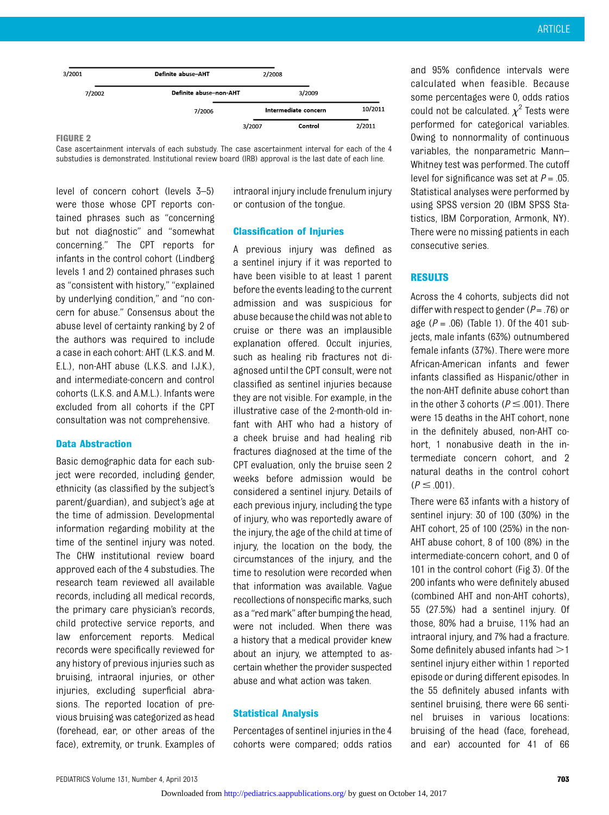

Case ascertainment intervals of each substudy. The case ascertainment interval for each of the 4 substudies is demonstrated. Institutional review board (IRB) approval is the last date of each line.

level of concern cohort (levels 3–5) were those whose CPT reports contained phrases such as "concerning but not diagnostic" and "somewhat concerning." The CPT reports for infants in the control cohort (Lindberg levels 1 and 2) contained phrases such as "consistent with history," "explained by underlying condition," and "no concern for abuse." Consensus about the abuse level of certainty ranking by 2 of the authors was required to include a case in each cohort: AHT (L.K.S. and M. E.L.), non-AHT abuse (L.K.S. and I.J.K.), and intermediate-concern and control cohorts (L.K.S. and A.M.L.). Infants were excluded from all cohorts if the CPT consultation was not comprehensive.

#### Data Abstraction

Basic demographic data for each subject were recorded, including gender, ethnicity (as classified by the subject's parent/guardian), and subject's age at the time of admission. Developmental information regarding mobility at the time of the sentinel injury was noted. The CHW institutional review board approved each of the 4 substudies. The research team reviewed all available records, including all medical records, the primary care physician's records, child protective service reports, and law enforcement reports. Medical records were specifically reviewed for any history of previous injuries such as bruising, intraoral injuries, or other injuries, excluding superficial abrasions. The reported location of previous bruising was categorized as head (forehead, ear, or other areas of the face), extremity, or trunk. Examples of

intraoral injury include frenulum injury or contusion of the tongue.

#### Classification of Injuries

A previous injury was defined as a sentinel injury if it was reported to have been visible to at least 1 parent before the events leading to the current admission and was suspicious for abuse because the child was not able to cruise or there was an implausible explanation offered. Occult injuries, such as healing rib fractures not diagnosed until the CPT consult, were not classified as sentinel injuries because they are not visible. For example, in the illustrative case of the 2-month-old infant with AHT who had a history of a cheek bruise and had healing rib fractures diagnosed at the time of the CPT evaluation, only the bruise seen 2 weeks before admission would be considered a sentinel injury. Details of each previous injury, including the type of injury, who was reportedly aware of the injury, the age of the child at time of injury, the location on the body, the circumstances of the injury, and the time to resolution were recorded when that information was available. Vague recollections of nonspecific marks, such as a "red mark" after bumping the head, were not included. When there was a history that a medical provider knew about an injury, we attempted to ascertain whether the provider suspected abuse and what action was taken.

#### Statistical Analysis

Percentages of sentinel injuries in the 4 cohorts were compared; odds ratios

and 95% confidence intervals were calculated when feasible. Because some percentages were 0, odds ratios could not be calculated.  $\chi^2$  Tests were performed for categorical variables. Owing to nonnormality of continuous variables, the nonparametric Mann– Whitney test was performed. The cutoff level for significance was set at  $P = .05$ . Statistical analyses were performed by using SPSS version 20 (IBM SPSS Statistics, IBM Corporation, Armonk, NY). There were no missing patients in each consecutive series.

#### RESULTS

Across the 4 cohorts, subjects did not differ with respect to gender  $(P = .76)$  or age  $(P = .06)$  (Table 1). Of the 401 subjects, male infants (63%) outnumbered female infants (37%). There were more African-American infants and fewer infants classified as Hispanic/other in the non-AHT definite abuse cohort than in the other 3 cohorts ( $P \leq .001$ ). There were 15 deaths in the AHT cohort, none in the definitely abused, non-AHT cohort, 1 nonabusive death in the intermediate concern cohort, and 2 natural deaths in the control cohort  $(P \le .001)$ .

There were 63 infants with a history of sentinel injury: 30 of 100 (30%) in the AHT cohort, 25 of 100 (25%) in the non-AHT abuse cohort, 8 of 100 (8%) in the intermediate-concern cohort, and 0 of 101 in the control cohort (Fig 3). Of the 200 infants who were definitely abused (combined AHT and non-AHT cohorts), 55 (27.5%) had a sentinel injury. Of those, 80% had a bruise, 11% had an intraoral injury, and 7% had a fracture. Some definitely abused infants had  $>1$ sentinel injury either within 1 reported episode or during different episodes. In the 55 definitely abused infants with sentinel bruising, there were 66 sentinel bruises in various locations: bruising of the head (face, forehead, and ear) accounted for 41 of 66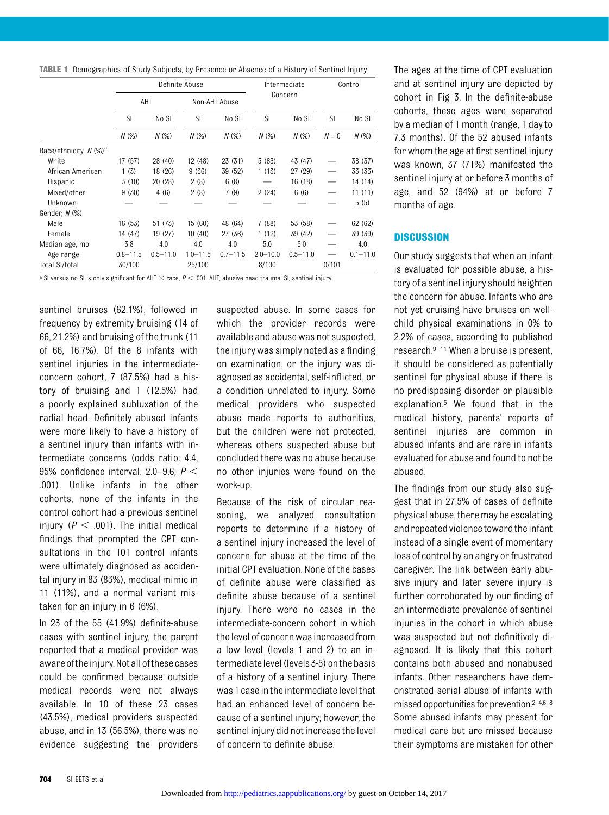TABLE 1 Demographics of Study Subjects, by Presence or Absence of a History of Sentinel Injury

|                                    | Definite Abuse |                |                       |               | Intermediate         |               | Control                  |                |
|------------------------------------|----------------|----------------|-----------------------|---------------|----------------------|---------------|--------------------------|----------------|
|                                    | AHT            |                | Non-AHT Abuse         |               | Concern              |               |                          |                |
|                                    | SI<br>N(%)     | No SI<br>N(% ) | <sup>SI</sup><br>N(%) | No SI<br>N(%) | <sup>SI</sup><br>N(% | No SI<br>N(%) | <sup>SI</sup><br>$N = 0$ | No SI<br>N(% ) |
|                                    |                |                |                       |               |                      |               |                          |                |
| Race/ethnicity, N (%) <sup>a</sup> |                |                |                       |               |                      |               |                          |                |
| White                              | 17(57)         | 28 (40)        | 12 (48)               | 23 (31)       | 5(63)                | 43 (47)       |                          | 38 (37)        |
| African American                   | 1(3)           | 18 (26)        | 9(36)                 | 39 (52)       | 1(13)                | 27 (29)       |                          | 33 (33)        |
| Hispanic                           | 3(10)          | 20 (28)        | 2(8)                  | 6(8)          |                      | 16 (18)       |                          | 14 (14)        |
| Mixed/other                        | 9(30)          | 4(6)           | 2(8)                  | 7(9)          | 2(24)                | 6(6)          |                          | 11(11)         |
| Unknown                            |                |                |                       |               |                      |               |                          | 5(5)           |
| Gender, N (%)                      |                |                |                       |               |                      |               |                          |                |
| Male                               | 16 (53)        | 51 (73)        | 15 (60)               | 48 (64)       | 7(88)                | 53 (58)       |                          | 62 (62)        |
| Female                             | 14 (47)        | 19 (27)        | 10(40)                | 27 (36)       | 1(12)                | 39 (42)       |                          | 39 (39)        |
| Median age, mo                     | 3.8            | 4.0            | 4.0                   | 4.0           | 5.0                  | 5.0           |                          | 4.0            |
| Age range                          | $0.8 - 11.5$   | $0.5 - 11.0$   | $1.0 - 11.5$          | $0.7 - 11.5$  | $2.0 - 10.0$         | $0.5 - 11.0$  |                          | $0.1 - 11.0$   |
| Total SI/total                     | 30/100         |                | 25/100                |               | 8/100                |               | 0/101                    |                |

<sup>a</sup> SI versus no SI is only significant for AHT  $\times$  race,  $P < .001$ . AHT, abusive head trauma; SI, sentinel injury.

sentinel bruises (62.1%), followed in frequency by extremity bruising (14 of 66, 21.2%) and bruising of the trunk (11 of 66, 16.7%). Of the 8 infants with sentinel injuries in the intermediateconcern cohort, 7 (87.5%) had a history of bruising and 1 (12.5%) had a poorly explained subluxation of the radial head. Definitely abused infants were more likely to have a history of a sentinel injury than infants with intermediate concerns (odds ratio: 4.4, 95% confidence interval: 2.0–9.6;  $P <$ .001). Unlike infants in the other cohorts, none of the infants in the control cohort had a previous sentinel injury ( $P < .001$ ). The initial medical findings that prompted the CPT consultations in the 101 control infants were ultimately diagnosed as accidental injury in 83 (83%), medical mimic in 11 (11%), and a normal variant mistaken for an injury in 6 (6%).

In 23 of the 55 (41.9%) definite-abuse cases with sentinel injury, the parent reported that a medical provider was awareoftheinjury. Notallofthese cases could be confirmed because outside medical records were not always available. In 10 of these 23 cases (43.5%), medical providers suspected abuse, and in 13 (56.5%), there was no evidence suggesting the providers

suspected abuse. In some cases for which the provider records were available and abuse was not suspected, the injury was simply noted as a finding on examination, or the injury was diagnosed as accidental, self-inflicted, or a condition unrelated to injury. Some medical providers who suspected abuse made reports to authorities, but the children were not protected, whereas others suspected abuse but concluded there was no abuse because no other injuries were found on the work-up.

Because of the risk of circular reasoning, we analyzed consultation reports to determine if a history of a sentinel injury increased the level of concern for abuse at the time of the initial CPT evaluation. None of the cases of definite abuse were classified as definite abuse because of a sentinel injury. There were no cases in the intermediate-concern cohort in which the level of concern was increased from a low level (levels 1 and 2) to an intermediatelevel (levels 3-5) onthebasis of a history of a sentinel injury. There was 1 case inthe intermediate levelthat had an enhanced level of concern because of a sentinel injury; however, the sentinel injury did not increase the level of concern to definite abuse.

The ages at the time of CPT evaluation and at sentinel injury are depicted by cohort in Fig 3. In the definite-abuse cohorts, these ages were separated by a median of 1 month (range, 1 day to 7.3 months). Of the 52 abused infants for whom the age at first sentinel injury was known, 37 (71%) manifested the sentinel injury at or before 3 months of age, and 52 (94%) at or before 7 months of age.

#### **DISCUSSION**

Our study suggests that when an infant is evaluated for possible abuse, a history of a sentinel injury should heighten the concern for abuse. Infants who are not yet cruising have bruises on wellchild physical examinations in 0% to 2.2% of cases, according to published research.9–<sup>11</sup> When a bruise is present, it should be considered as potentially sentinel for physical abuse if there is no predisposing disorder or plausible explanation.5 We found that in the medical history, parents' reports of sentinel injuries are common in abused infants and are rare in infants evaluated for abuse and found to not be abused.

The findings from our study also suggest that in 27.5% of cases of definite physical abuse,there may be escalating and repeated violencetowardthe infant instead of a single event of momentary loss of control by an angry or frustrated caregiver. The link between early abusive injury and later severe injury is further corroborated by our finding of an intermediate prevalence of sentinel injuries in the cohort in which abuse was suspected but not definitively diagnosed. It is likely that this cohort contains both abused and nonabused infants. Other researchers have demonstrated serial abuse of infants with missed opportunities for prevention.2–4,6–<sup>8</sup> Some abused infants may present for medical care but are missed because their symptoms are mistaken for other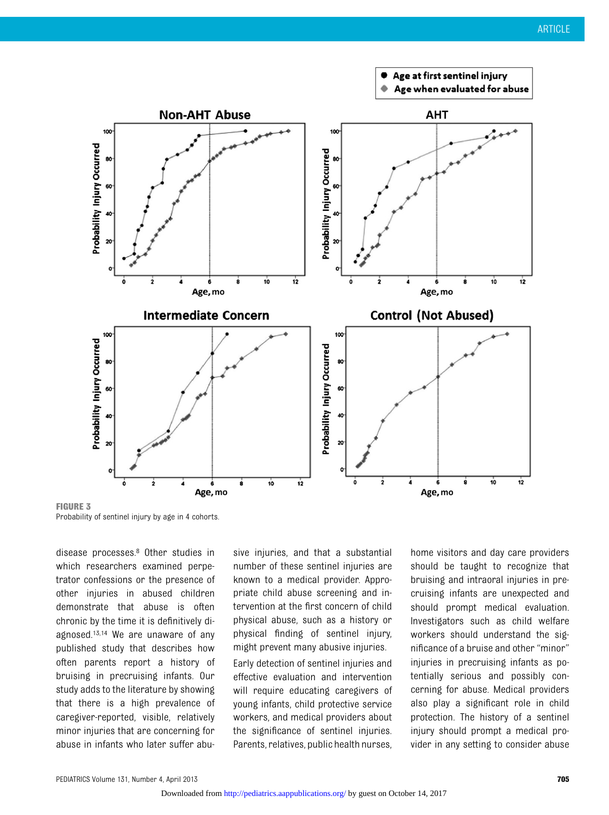

Probability of sentinel injury by age in 4 cohorts.

disease processes.8 Other studies in which researchers examined perpetrator confessions or the presence of other injuries in abused children demonstrate that abuse is often chronic by the time it is definitively diagnosed.13,14 We are unaware of any published study that describes how often parents report a history of bruising in precruising infants. Our study adds to the literature by showing that there is a high prevalence of caregiver-reported, visible, relatively minor injuries that are concerning for abuse in infants who later suffer abu-

sive injuries, and that a substantial number of these sentinel injuries are known to a medical provider. Appropriate child abuse screening and intervention at the first concern of child physical abuse, such as a history or physical finding of sentinel injury, might prevent many abusive injuries.

Early detection of sentinel injuries and effective evaluation and intervention will require educating caregivers of young infants, child protective service workers, and medical providers about the significance of sentinel injuries. Parents, relatives, public health nurses, home visitors and day care providers should be taught to recognize that bruising and intraoral injuries in precruising infants are unexpected and should prompt medical evaluation. Investigators such as child welfare workers should understand the significance of a bruise and other "minor" injuries in precruising infants as potentially serious and possibly concerning for abuse. Medical providers also play a significant role in child protection. The history of a sentinel injury should prompt a medical provider in any setting to consider abuse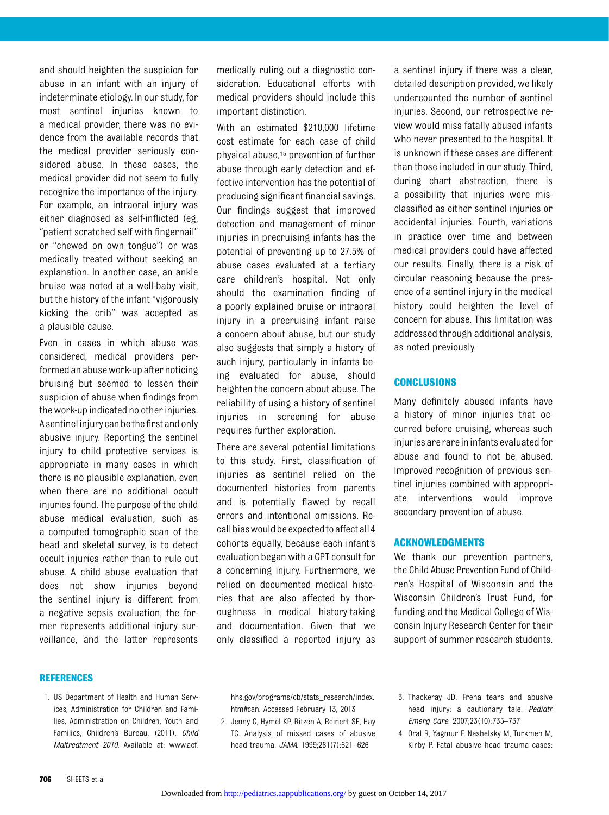and should heighten the suspicion for abuse in an infant with an injury of indeterminate etiology. In our study, for most sentinel injuries known to a medical provider, there was no evidence from the available records that the medical provider seriously considered abuse. In these cases, the medical provider did not seem to fully recognize the importance of the injury. For example, an intraoral injury was either diagnosed as self-inflicted (eg, "patient scratched self with fingernail" or "chewed on own tongue") or was medically treated without seeking an explanation. In another case, an ankle bruise was noted at a well-baby visit, but the history of the infant "vigorously kicking the crib" was accepted as a plausible cause.

Even in cases in which abuse was considered, medical providers performed an abuse work-up after noticing bruising but seemed to lessen their suspicion of abuse when findings from the work-up indicated no other injuries. A sentinel injury can bethefirst and only abusive injury. Reporting the sentinel injury to child protective services is appropriate in many cases in which there is no plausible explanation, even when there are no additional occult injuries found. The purpose of the child abuse medical evaluation, such as a computed tomographic scan of the head and skeletal survey, is to detect occult injuries rather than to rule out abuse. A child abuse evaluation that does not show injuries beyond the sentinel injury is different from a negative sepsis evaluation; the former represents additional injury surveillance, and the latter represents

medically ruling out a diagnostic consideration. Educational efforts with medical providers should include this important distinction.

With an estimated \$210,000 lifetime cost estimate for each case of child physical abuse,15 prevention of further abuse through early detection and effective intervention has the potential of producing significant financial savings. Our findings suggest that improved detection and management of minor injuries in precruising infants has the potential of preventing up to 27.5% of abuse cases evaluated at a tertiary care children's hospital. Not only should the examination finding of a poorly explained bruise or intraoral injury in a precruising infant raise a concern about abuse, but our study also suggests that simply a history of such injury, particularly in infants being evaluated for abuse, should heighten the concern about abuse. The reliability of using a history of sentinel injuries in screening for abuse requires further exploration.

There are several potential limitations to this study. First, classification of injuries as sentinel relied on the documented histories from parents and is potentially flawed by recall errors and intentional omissions. Recall bias would be expected to affect all 4 cohorts equally, because each infant's evaluation began with a CPT consult for a concerning injury. Furthermore, we relied on documented medical histories that are also affected by thoroughness in medical history-taking and documentation. Given that we only classified a reported injury as

a sentinel injury if there was a clear, detailed description provided, we likely undercounted the number of sentinel injuries. Second, our retrospective review would miss fatally abused infants who never presented to the hospital. It is unknown if these cases are different than those included in our study. Third, during chart abstraction, there is a possibility that injuries were misclassified as either sentinel injuries or accidental injuries. Fourth, variations in practice over time and between medical providers could have affected our results. Finally, there is a risk of circular reasoning because the presence of a sentinel injury in the medical history could heighten the level of concern for abuse. This limitation was addressed through additional analysis, as noted previously.

#### **CONCLUSIONS**

Many definitely abused infants have a history of minor injuries that occurred before cruising, whereas such injuries are rare in infants evaluated for abuse and found to not be abused. Improved recognition of previous sentinel injuries combined with appropriate interventions would improve secondary prevention of abuse.

#### ACKNOWLEDGMENTS

We thank our prevention partners, the Child Abuse Prevention Fund of Children's Hospital of Wisconsin and the Wisconsin Children's Trust Fund, for funding and the Medical College of Wisconsin Injury Research Center for their support of summer research students.

#### REFERENCES

1. US Department of Health and Human Services, Administration for Children and Families, Administration on Children, Youth and Families, Children's Bureau. (2011). Child Maltreatment 2010. Available at: [www.acf.](http://www.acf.hhs.gov/programs/cb/stats_research/index.htm#can.)

[hhs.gov/programs/cb/stats\\_research/index.](http://www.acf.hhs.gov/programs/cb/stats_research/index.htm#can.) [htm#can.](http://www.acf.hhs.gov/programs/cb/stats_research/index.htm#can.) Accessed February 13, 2013

- 2. Jenny C, Hymel KP, Ritzen A, Reinert SE, Hay TC. Analysis of missed cases of abusive head trauma. JAMA. 1999;281(7):621–626
- 3. Thackeray JD. Frena tears and abusive head injury: a cautionary tale. Pediatr Emerg Care. 2007;23(10):735–737
- 4. Oral R, Yagmur F, Nashelsky M, Turkmen M, Kirby P. Fatal abusive head trauma cases: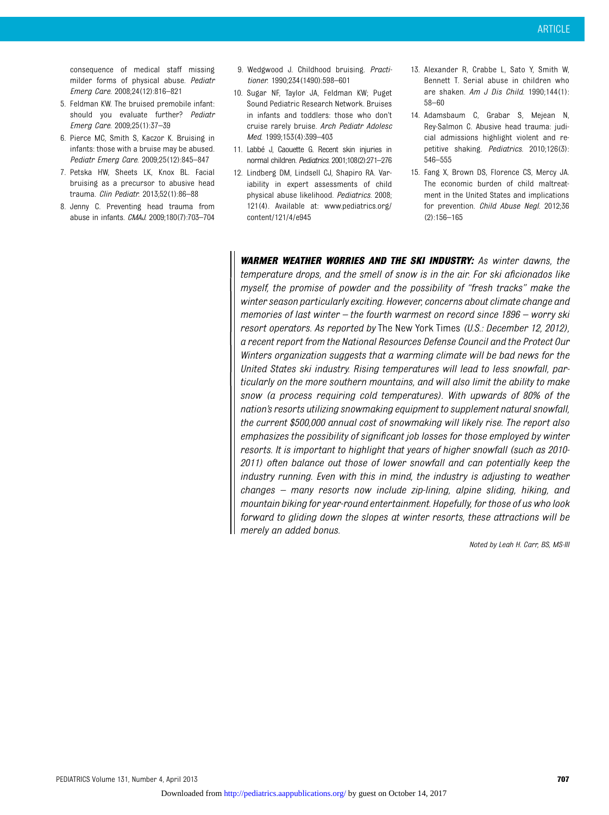consequence of medical staff missing milder forms of physical abuse. Pediatr Emerg Care. 2008;24(12):816–821

- 5. Feldman KW. The bruised premobile infant: should you evaluate further? Pediatr Emerg Care. 2009;25(1):37–39
- 6. Pierce MC, Smith S, Kaczor K. Bruising in infants: those with a bruise may be abused. Pediatr Emerg Care. 2009;25(12):845–847
- 7. Petska HW, Sheets LK, Knox BL. Facial bruising as a precursor to abusive head trauma. Clin Pediatr. 2013;52(1):86–88
- 8. Jenny C. Preventing head trauma from abuse in infants. CMAJ. 2009;180(7):703–704
- 9. Wedgwood J. Childhood bruising. Practitioner. 1990;234(1490):598–601
- 10. Sugar NF, Taylor JA, Feldman KW; Puget Sound Pediatric Research Network. Bruises in infants and toddlers: those who don't cruise rarely bruise. Arch Pediatr Adolesc Med. 1999;153(4):399–403
- 11. Labbé J, Caouette G. Recent skin injuries in normal children. Pediatrics. 2001;108(2):271–276
- 12. Lindberg DM, Lindsell CJ, Shapiro RA. Variability in expert assessments of child physical abuse likelihood. Pediatrics. 2008; 121(4). Available at: www.pediatrics.org/ content/121/4/e945
- 13. Alexander R, Crabbe L, Sato Y, Smith W, Bennett T. Serial abuse in children who are shaken. Am J Dis Child. 1990;144(1): 58–60
- 14. Adamsbaum C, Grabar S, Mejean N, Rey-Salmon C. Abusive head trauma: judicial admissions highlight violent and repetitive shaking. Pediatrics. 2010;126(3): 546–555
- 15. Fang X, Brown DS, Florence CS, Mercy JA. The economic burden of child maltreatment in the United States and implications for prevention. Child Abuse Negl. 2012;36 (2):156–165

WARMER WEATHER WORRIES AND THE SKI INDUSTRY: As winter dawns, the temperature drops, and the smell of snow is in the air. For ski aficionados like myself, the promise of powder and the possibility of "fresh tracks" make the winter season particularly exciting. However, concerns about climate change and memories of last winter – the fourth warmest on record since 1896 – worry ski resort operators. As reported by The New York Times (U.S.: December 12, 2012), a recent report from the National Resources Defense Council and the Protect Our Winters organization suggests that a warming climate will be bad news for the United States ski industry. Rising temperatures will lead to less snowfall, particularly on the more southern mountains, and will also limit the ability to make snow (a process requiring cold temperatures). With upwards of 80% of the nation's resorts utilizing snowmaking equipment to supplement natural snowfall, the current \$500,000 annual cost of snowmaking will likely rise. The report also emphasizes the possibility of significant job losses for those employed by winter resorts. It is important to highlight that years of higher snowfall (such as 2010- 2011) often balance out those of lower snowfall and can potentially keep the industry running. Even with this in mind, the industry is adjusting to weather changes – many resorts now include zip-lining, alpine sliding, hiking, and mountain biking for year-round entertainment. Hopefully, for those of us who look forward to gliding down the slopes at winter resorts, these attractions will be merely an added bonus.

Noted by Leah H. Carr, BS, MS-III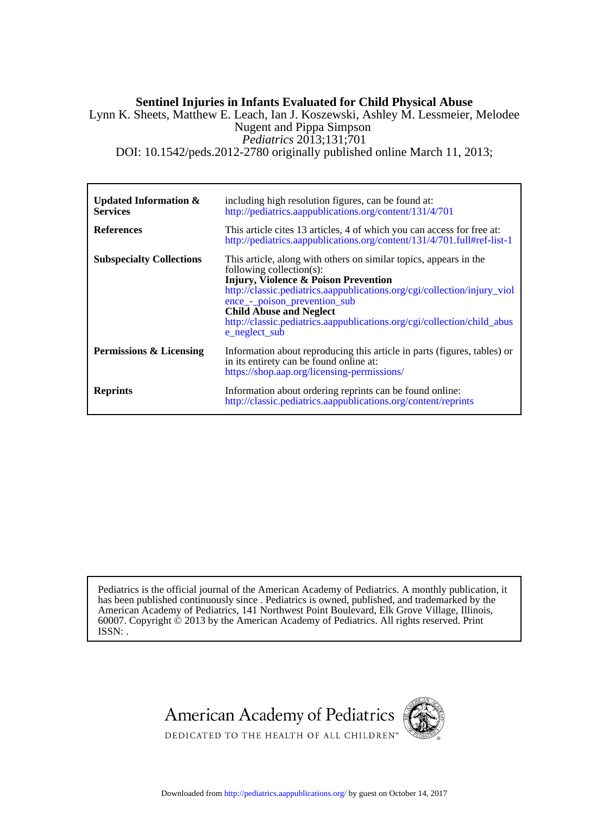#### DOI: 10.1542/peds.2012-2780 originally published online March 11, 2013; *Pediatrics* 2013;131;701 Nugent and Pippa Simpson Lynn K. Sheets, Matthew E. Leach, Ian J. Koszewski, Ashley M. Lessmeier, Melodee **Sentinel Injuries in Infants Evaluated for Child Physical Abuse**

| <b>Updated Information &amp;</b><br><b>Services</b> | including high resolution figures, can be found at:<br>http://pediatrics.aappublications.org/content/131/4/701                                                                                                                                                                                                                                                                  |
|-----------------------------------------------------|---------------------------------------------------------------------------------------------------------------------------------------------------------------------------------------------------------------------------------------------------------------------------------------------------------------------------------------------------------------------------------|
| <b>References</b>                                   | This article cites 13 articles, 4 of which you can access for free at:<br>http://pediatrics.aappublications.org/content/131/4/701.full#ref-list-1                                                                                                                                                                                                                               |
| <b>Subspecialty Collections</b>                     | This article, along with others on similar topics, appears in the<br>following collection(s):<br>Injury, Violence & Poison Prevention<br>http://classic.pediatrics.aappublications.org/cgi/collection/injury_viol<br>ence_-_poison_prevention_sub<br><b>Child Abuse and Neglect</b><br>http://classic.pediatrics.aappublications.org/cgi/collection/child_abus<br>e neglect sub |
| Permissions & Licensing                             | Information about reproducing this article in parts (figures, tables) or<br>in its entirety can be found online at:<br>https://shop.aap.org/licensing-permissions/                                                                                                                                                                                                              |
| <b>Reprints</b>                                     | Information about ordering reprints can be found online:<br>http://classic.pediatrics.aappublications.org/content/reprints                                                                                                                                                                                                                                                      |

ISSN: . 60007. Copyright © 2013 by the American Academy of Pediatrics. All rights reserved. Print American Academy of Pediatrics, 141 Northwest Point Boulevard, Elk Grove Village, Illinois, has been published continuously since . Pediatrics is owned, published, and trademarked by the Pediatrics is the official journal of the American Academy of Pediatrics. A monthly publication, it



DEDICATED TO THE HEALTH OF ALL CHILDREN<sup>™</sup>